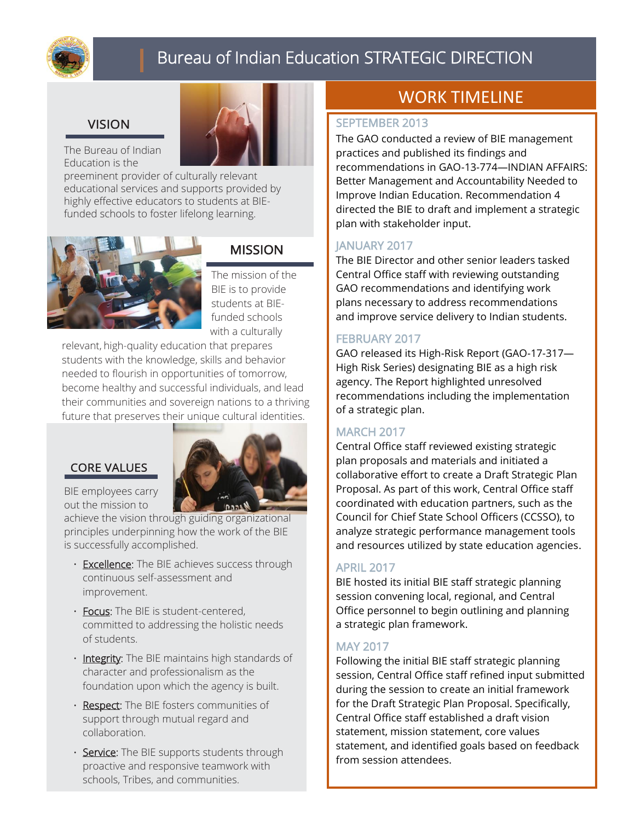

# Bureau of Indian Education STRATEGIC DIRECTION

# **VISION**

The Bureau of Indian Education is the

preeminent provider of culturally relevant educational services and supports provided by<br>highles fractional patency to the data of PIF highly effective educators to students at BIEinginy enective eddedtors to stadents at E



# **MISSION**

The mission of the BIE is to provide students at BIEfunded schools with a culturally

relevant, high-quality education that prepares students with the knowledge, skills and behavior needed to flourish in opportunities of tomorrow, become healthy and successful individuals, and lead their communities and sovereign nations to a thriving future that preserves their unique cultural identities.

# **CORE VALUES**



BIE employees carry out the mission to

achieve the vision through guiding organizational principles underpinning how the work of the BIE is successfully accomplished.

- Excellence: The BIE achieves success through continuous self-assessment and improvement.
- Focus: The BIE is student-centered, committed to addressing the holistic needs of students.
- Integrity: The BIE maintains high standards of character and professionalism as the foundation upon which the agency is built.
- Respect: The BIE fosters communities of support through mutual regard and collaboration.
- Service: The BIE supports students through proactive and responsive teamwork with schools, Tribes, and communities.

# WORK TIMELINE

#### SEPTEMBER 2013

The GAO conducted a review of BIE management practices and published its findings and recommendations in GAO-13-774—INDIAN AFFAIRS: Better Management and Accountability Needed to Improve Indian Education. Recommendation 4 directed the BIE to draft and implement a strategic plan with stakeholder input.

## JANUARY 2017

The BIE Director and other senior leaders tasked Central Office staff with reviewing outstanding GAO recommendations and identifying work plans necessary to address recommendations and improve service delivery to Indian students.

#### FEBRUARY 2017

GAO released its High-Risk Report (GAO-17-317— High Risk Series) designating BIE as a high risk agency. The Report highlighted unresolved recommendations including the implementation of a strategic plan.

#### **MARCH 2017**

Central Office staff reviewed existing strategic plan proposals and materials and initiated a collaborative effort to create a Draft Strategic Plan Proposal. As part of this work, Central Office staff coordinated with education partners, such as the Council for Chief State School Officers (CCSSO), to analyze strategic performance management tools and resources utilized by state education agencies.

#### APRIL 2017

BIE hosted its initial BIE staff strategic planning session convening local, regional, and Central Office personnel to begin outlining and planning a strategic plan framework.

#### MAY 2017

Following the initial BIE staff strategic planning session, Central Office staff refined input submitted during the session to create an initial framework for the Draft Strategic Plan Proposal. Specifically, Central Office staff established a draft vision statement, mission statement, core values statement, and identified goals based on feedback from session attendees.